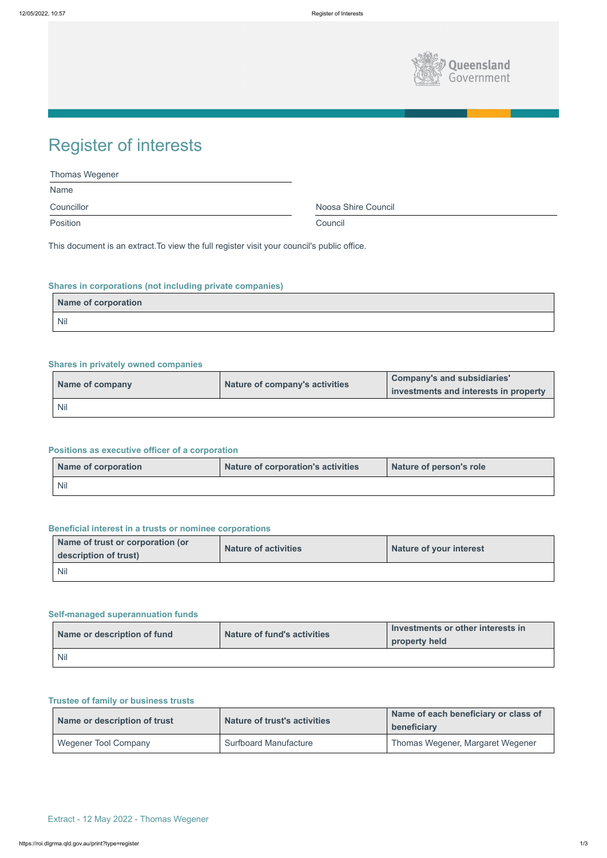

| <b>Thomas Wegener</b> |                     |
|-----------------------|---------------------|
| Name                  |                     |
| Councillor            | Noosa Shire Council |
| Position              | Council             |

# Register of interests

This document is an extract.To view the full register visit your council's public office.

# **Shares in corporations (not including private companies)**

| Name of corporation |  |
|---------------------|--|
| Nil                 |  |

# **Shares in privately owned companies**

| Name of company | Nature of company's activities | <b>Company's and subsidiaries'</b><br>investments and interests in property |
|-----------------|--------------------------------|-----------------------------------------------------------------------------|
| <b>Nil</b>      |                                |                                                                             |

# **Positions as executive officer of a corporation**

| Name of corporation | Nature of corporation's activities | Nature of person's role |
|---------------------|------------------------------------|-------------------------|
| <b>Nil</b>          |                                    |                         |

# **Beneficial interest in a trusts or nominee corporations**

| Name of trust or corporation (or<br>description of trust) | <b>Nature of activities</b> | <b>Nature of your interest</b> |
|-----------------------------------------------------------|-----------------------------|--------------------------------|
| <b>Nil</b>                                                |                             |                                |

# **Self-managed superannuation funds**

|                             |                             | Investments or other interests in |
|-----------------------------|-----------------------------|-----------------------------------|
| Name or description of fund | Nature of fund's activities | property held                     |

#### **Trustee of family or business trusts**

| Name or description of trust | <b>Nature of trust's activities</b> | Name of each beneficiary or class of<br>beneficiary |
|------------------------------|-------------------------------------|-----------------------------------------------------|
| Wegener Tool Company         | <b>Surfboard Manufacture</b>        | Thomas Wegener, Margaret Wegener                    |

Extract - 12 May 2022 - Thomas Wegener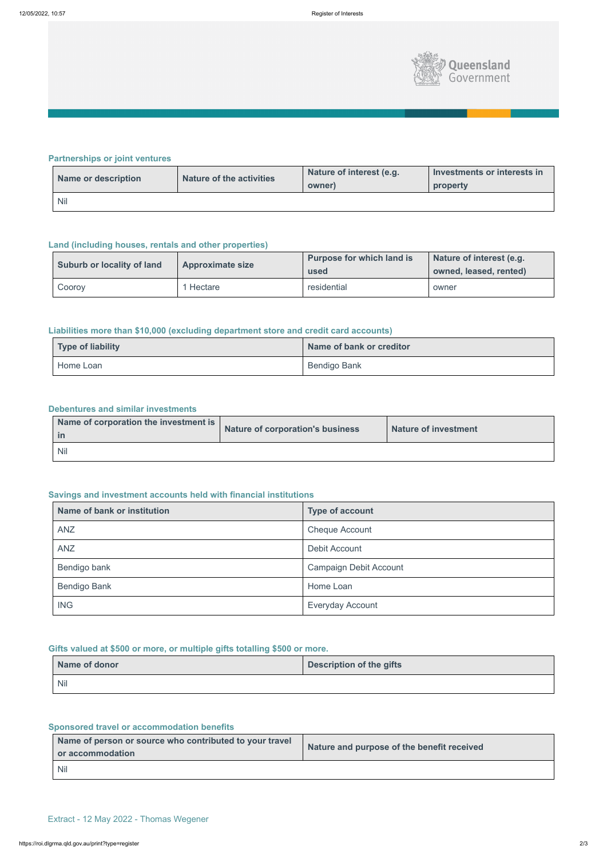

# **Partnerships or joint ventures**

| Name or description | <b>Nature of the activities</b> | Nature of interest (e.g.<br>owner) | Investments or interests in<br>property |
|---------------------|---------------------------------|------------------------------------|-----------------------------------------|
| <b>Nil</b>          |                                 |                                    |                                         |

# **Land (including houses, rentals and other properties)**

| <b>Suburb or locality of land</b> | <b>Approximate size</b> | <b>Purpose for which land is</b><br>used | Nature of interest (e.g.<br>owned, leased, rented) |
|-----------------------------------|-------------------------|------------------------------------------|----------------------------------------------------|
| Cooroy                            | Hectare                 | residential                              | owner                                              |

# **Liabilities more than \$10,000 (excluding department store and credit card accounts)**

| Type of liability | Name of bank or creditor |
|-------------------|--------------------------|
| Home Loan         | Bendigo Bank             |

#### **Debentures and similar investments**

| Name of corporation the investment is | Nature of corporation's business | <b>Nature of investment</b> |
|---------------------------------------|----------------------------------|-----------------------------|
| <b>Nil</b>                            |                                  |                             |

# **Savings and investment accounts held with financial institutions**

| Name of bank or institution | <b>Type of account</b>        |
|-----------------------------|-------------------------------|
| <b>ANZ</b>                  | <b>Cheque Account</b>         |
| <b>ANZ</b>                  | Debit Account                 |
| Bendigo bank                | <b>Campaign Debit Account</b> |
| <b>Bendigo Bank</b>         | Home Loan                     |
| <b>ING</b>                  | <b>Everyday Account</b>       |

# **Gifts valued at \$500 or more, or multiple gifts totalling \$500 or more.**

| Name of donor | <b>Description of the gifts</b> |
|---------------|---------------------------------|
| <b>Nil</b>    |                                 |

# **Sponsored travel or accommodation benefits**

| Name of person or source who contributed to your travel<br>or accommodation | Nature and purpose of the benefit received |
|-----------------------------------------------------------------------------|--------------------------------------------|
| <b>Nil</b>                                                                  |                                            |

Extract - 12 May 2022 - Thomas Wegener